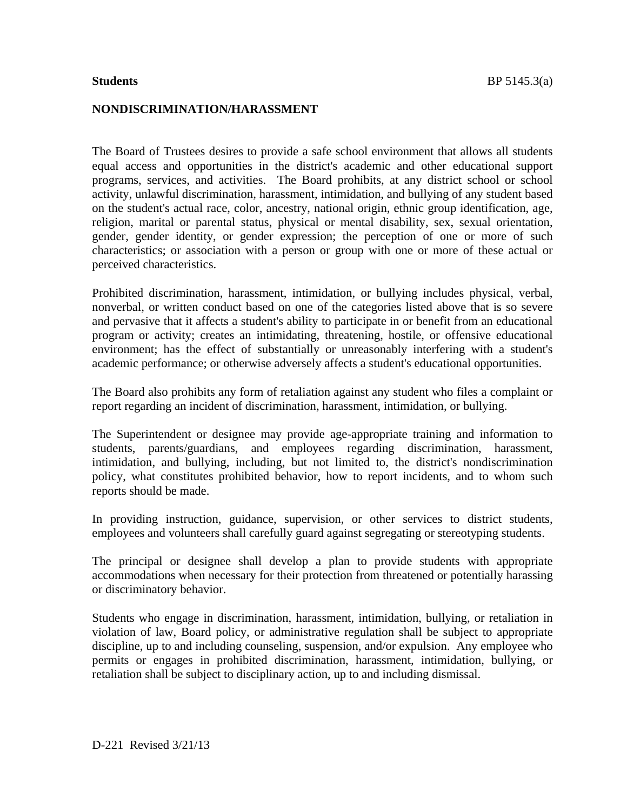#### **NONDISCRIMINATION/HARASSMENT**

The Board of Trustees desires to provide a safe school environment that allows all students equal access and opportunities in the district's academic and other educational support programs, services, and activities. The Board prohibits, at any district school or school activity, unlawful discrimination, harassment, intimidation, and bullying of any student based on the student's actual race, color, ancestry, national origin, ethnic group identification, age, religion, marital or parental status, physical or mental disability, sex, sexual orientation, gender, gender identity, or gender expression; the perception of one or more of such characteristics; or association with a person or group with one or more of these actual or perceived characteristics.

Prohibited discrimination, harassment, intimidation, or bullying includes physical, verbal, nonverbal, or written conduct based on one of the categories listed above that is so severe and pervasive that it affects a student's ability to participate in or benefit from an educational program or activity; creates an intimidating, threatening, hostile, or offensive educational environment; has the effect of substantially or unreasonably interfering with a student's academic performance; or otherwise adversely affects a student's educational opportunities.

The Board also prohibits any form of retaliation against any student who files a complaint or report regarding an incident of discrimination, harassment, intimidation, or bullying.

The Superintendent or designee may provide age-appropriate training and information to students, parents/guardians, and employees regarding discrimination, harassment, intimidation, and bullying, including, but not limited to, the district's nondiscrimination policy, what constitutes prohibited behavior, how to report incidents, and to whom such reports should be made.

In providing instruction, guidance, supervision, or other services to district students, employees and volunteers shall carefully guard against segregating or stereotyping students.

The principal or designee shall develop a plan to provide students with appropriate accommodations when necessary for their protection from threatened or potentially harassing or discriminatory behavior.

Students who engage in discrimination, harassment, intimidation, bullying, or retaliation in violation of law, Board policy, or administrative regulation shall be subject to appropriate discipline, up to and including counseling, suspension, and/or expulsion. Any employee who permits or engages in prohibited discrimination, harassment, intimidation, bullying, or retaliation shall be subject to disciplinary action, up to and including dismissal.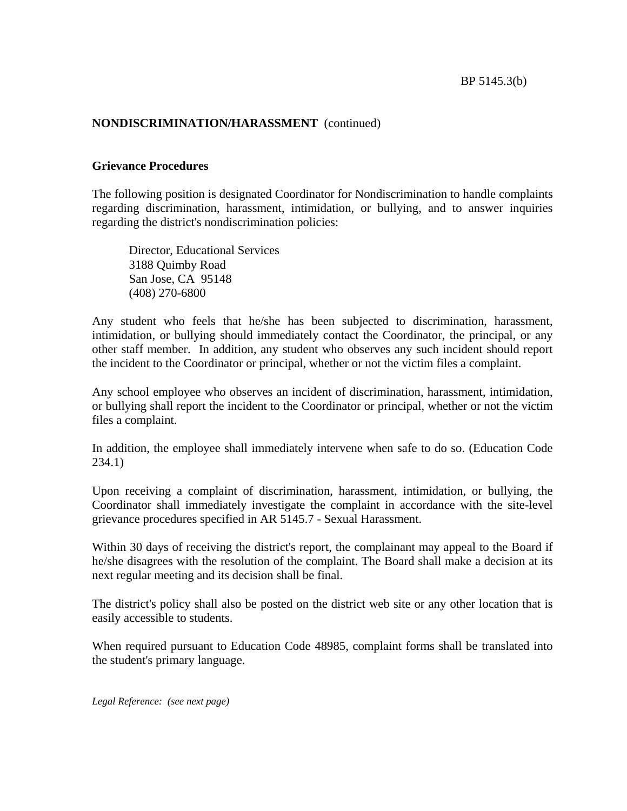## **NONDISCRIMINATION/HARASSMENT** (continued)

### **Grievance Procedures**

The following position is designated Coordinator for Nondiscrimination to handle complaints regarding discrimination, harassment, intimidation, or bullying, and to answer inquiries regarding the district's nondiscrimination policies:

Director, Educational Services 3188 Quimby Road San Jose, CA 95148 (408) 270-6800

Any student who feels that he/she has been subjected to discrimination, harassment, intimidation, or bullying should immediately contact the Coordinator, the principal, or any other staff member. In addition, any student who observes any such incident should report the incident to the Coordinator or principal, whether or not the victim files a complaint.

Any school employee who observes an incident of discrimination, harassment, intimidation, or bullying shall report the incident to the Coordinator or principal, whether or not the victim files a complaint.

In addition, the employee shall immediately intervene when safe to do so. (Education Code 234.1)

Upon receiving a complaint of discrimination, harassment, intimidation, or bullying, the Coordinator shall immediately investigate the complaint in accordance with the site-level grievance procedures specified in AR 5145.7 - Sexual Harassment.

Within 30 days of receiving the district's report, the complainant may appeal to the Board if he/she disagrees with the resolution of the complaint. The Board shall make a decision at its next regular meeting and its decision shall be final.

The district's policy shall also be posted on the district web site or any other location that is easily accessible to students.

When required pursuant to Education Code 48985, complaint forms shall be translated into the student's primary language.

*Legal Reference: (see next page)*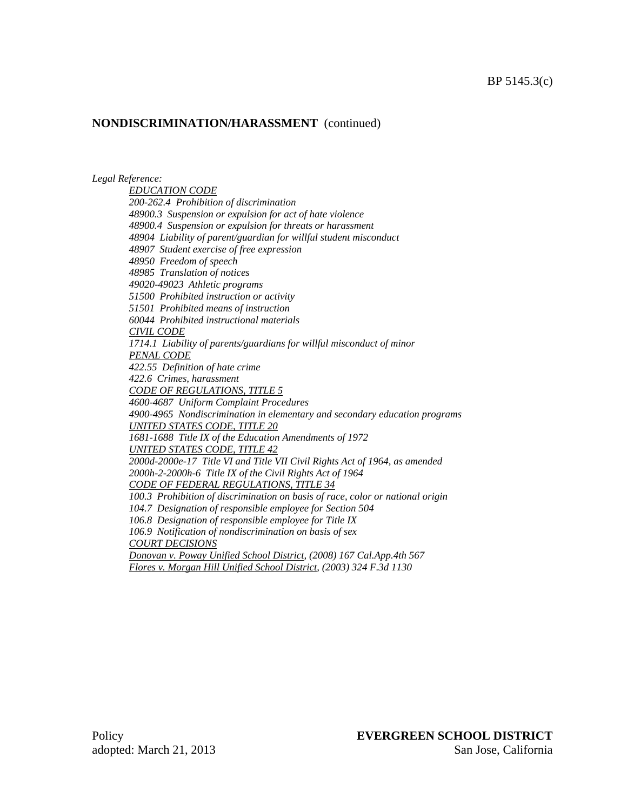### **NONDISCRIMINATION/HARASSMENT** (continued)

*Legal Reference:* 

*EDUCATION CODE 200-262.4 Prohibition of discrimination 48900.3 Suspension or expulsion for act of hate violence 48900.4 Suspension or expulsion for threats or harassment 48904 Liability of parent/guardian for willful student misconduct 48907 Student exercise of free expression 48950 Freedom of speech 48985 Translation of notices 49020-49023 Athletic programs 51500 Prohibited instruction or activity 51501 Prohibited means of instruction 60044 Prohibited instructional materials CIVIL CODE 1714.1 Liability of parents/guardians for willful misconduct of minor PENAL CODE 422.55 Definition of hate crime 422.6 Crimes, harassment CODE OF REGULATIONS, TITLE 5 4600-4687 Uniform Complaint Procedures 4900-4965 Nondiscrimination in elementary and secondary education programs UNITED STATES CODE, TITLE 20 1681-1688 Title IX of the Education Amendments of 1972 UNITED STATES CODE, TITLE 42 2000d-2000e-17 Title VI and Title VII Civil Rights Act of 1964, as amended 2000h-2-2000h-6 Title IX of the Civil Rights Act of 1964 CODE OF FEDERAL REGULATIONS, TITLE 34 100.3 Prohibition of discrimination on basis of race, color or national origin 104.7 Designation of responsible employee for Section 504 106.8 Designation of responsible employee for Title IX 106.9 Notification of nondiscrimination on basis of sex COURT DECISIONS Donovan v. Poway Unified School District, (2008) 167 Cal.App.4th 567 Flores v. Morgan Hill Unified School District, (2003) 324 F.3d 1130*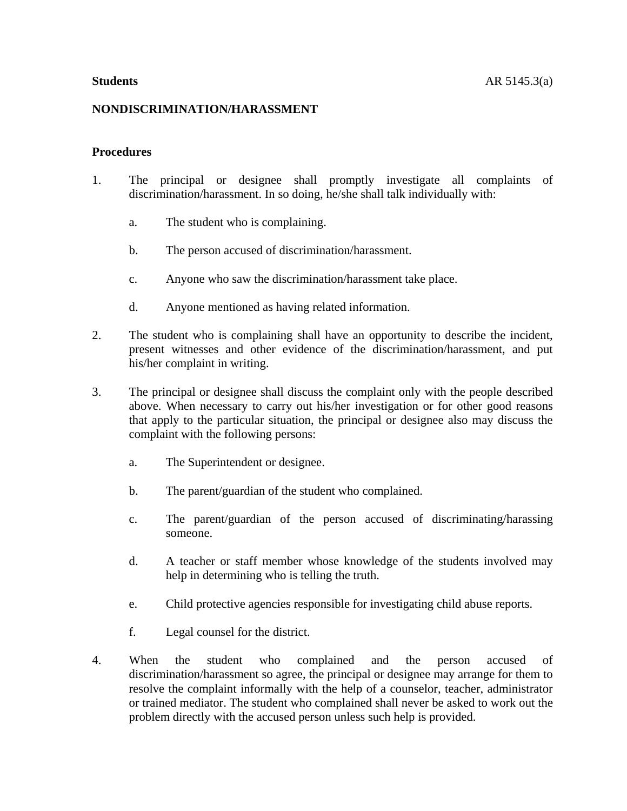#### **NONDISCRIMINATION/HARASSMENT**

#### **Procedures**

- 1. The principal or designee shall promptly investigate all complaints of discrimination/harassment. In so doing, he/she shall talk individually with:
	- a. The student who is complaining.
	- b. The person accused of discrimination/harassment.
	- c. Anyone who saw the discrimination/harassment take place.
	- d. Anyone mentioned as having related information.
- 2. The student who is complaining shall have an opportunity to describe the incident, present witnesses and other evidence of the discrimination/harassment, and put his/her complaint in writing.
- 3. The principal or designee shall discuss the complaint only with the people described above. When necessary to carry out his/her investigation or for other good reasons that apply to the particular situation, the principal or designee also may discuss the complaint with the following persons:
	- a. The Superintendent or designee.
	- b. The parent/guardian of the student who complained.
	- c. The parent/guardian of the person accused of discriminating/harassing someone.
	- d. A teacher or staff member whose knowledge of the students involved may help in determining who is telling the truth.
	- e. Child protective agencies responsible for investigating child abuse reports.
	- f. Legal counsel for the district.
- 4. When the student who complained and the person accused of discrimination/harassment so agree, the principal or designee may arrange for them to resolve the complaint informally with the help of a counselor, teacher, administrator or trained mediator. The student who complained shall never be asked to work out the problem directly with the accused person unless such help is provided.